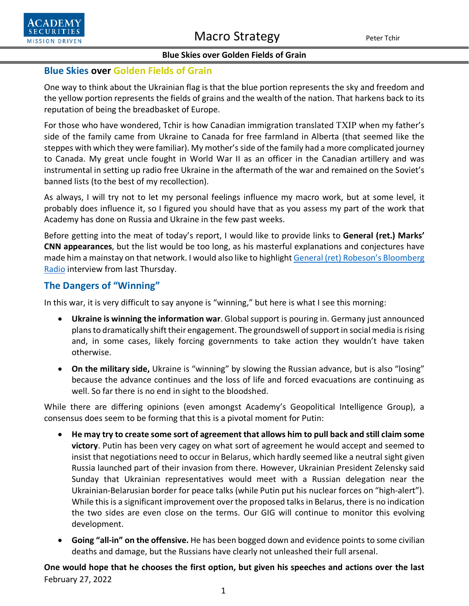

## **Blue Skies over Golden Fields of Grain**

One way to think about the Ukrainian flag is that the blue portion represents the sky and freedom and the yellow portion represents the fields of grains and the wealth of the nation. That harkens back to its reputation of being the breadbasket of Europe.

For those who have wondered, Tchir is how Canadian immigration translated ТХІР when my father's side of the family came from Ukraine to Canada for free farmland in Alberta (that seemed like the steppes with which they were familiar). My mother's side of the family had a more complicated journey to Canada. My great uncle fought in World War II as an officer in the Canadian artillery and was instrumental in setting up radio free Ukraine in the aftermath of the war and remained on the Soviet's banned lists (to the best of my recollection).

As always, I will try not to let my personal feelings influence my macro work, but at some level, it probably does influence it, so I figured you should have that as you assess my part of the work that Academy has done on Russia and Ukraine in the few past weeks.

Before getting into the meat of today's report, I would like to provide links to **General (ret.) Marks' CNN appearances**, but the list would be too long, as his masterful explanations and conjectures have made him a mainstay on that network. I would also like to highligh[t General \(ret\) Robeson's](https://www.bloomberg.com/news/audio/2022-02-24/russia-invasion-of-ukraine-ignites-crisis-podcast) Bloomberg [Radio](https://www.bloomberg.com/news/audio/2022-02-24/russia-invasion-of-ukraine-ignites-crisis-podcast) interview from last Thursday.

# **The Dangers of "Winning"**

In this war, it is very difficult to say anyone is "winning," but here is what I see this morning:

- **Ukraine is winning the information war**. Global support is pouring in. Germany just announced plans to dramatically shift their engagement. The groundswell of support in social media is rising and, in some cases, likely forcing governments to take action they wouldn't have taken otherwise.
- **On the military side,** Ukraine is "winning" by slowing the Russian advance, but is also "losing" because the advance continues and the loss of life and forced evacuations are continuing as well. So far there is no end in sight to the bloodshed.

While there are differing opinions (even amongst Academy's Geopolitical Intelligence Group), a consensus does seem to be forming that this is a pivotal moment for Putin:

- **He may try to create some sort of agreement that allows him to pull back and still claim some victory**. Putin has been very cagey on what sort of agreement he would accept and seemed to insist that negotiations need to occur in Belarus, which hardly seemed like a neutral sight given Russia launched part of their invasion from there. However, Ukrainian President Zelensky said Sunday that Ukrainian representatives would meet with a Russian delegation near the Ukrainian-Belarusian border for peace talks (while Putin put his nuclear forces on "high-alert"). While this is a significant improvement over the proposed talks in Belarus, there is no indication the two sides are even close on the terms. Our GIG will continue to monitor this evolving development.
- **Going "all-in" on the offensive.** He has been bogged down and evidence points to some civilian deaths and damage, but the Russians have clearly not unleashed their full arsenal.

February 27, 2022 **One would hope that he chooses the first option, but given his speeches and actions over the last**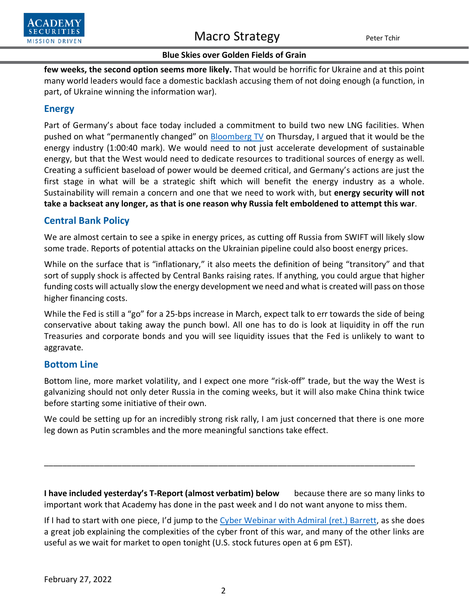

**few weeks, the second option seems more likely.** That would be horrific for Ukraine and at this point many world leaders would face a domestic backlash accusing them of not doing enough (a function, in part, of Ukraine winning the information war).

# **Energy**

Part of Germany's about face today included a commitment to build two new LNG facilities. When pushed on what "permanently changed" on [Bloomberg TV](https://www.bloomberg.com/news/videos/2022-02-24/-bloomberg-surveillance-simulcast-full-show-2-24-2022-video) on Thursday, I argued that it would be the energy industry (1:00:40 mark). We would need to not just accelerate development of sustainable energy, but that the West would need to dedicate resources to traditional sources of energy as well. Creating a sufficient baseload of power would be deemed critical, and Germany's actions are just the first stage in what will be a strategic shift which will benefit the energy industry as a whole. Sustainability will remain a concern and one that we need to work with, but **energy security will not take a backseat any longer, as that is one reason why Russia felt emboldened to attempt this war**.

# **Central Bank Policy**

We are almost certain to see a spike in energy prices, as cutting off Russia from SWIFT will likely slow some trade. Reports of potential attacks on the Ukrainian pipeline could also boost energy prices.

While on the surface that is "inflationary," it also meets the definition of being "transitory" and that sort of supply shock is affected by Central Banks raising rates. If anything, you could argue that higher funding costs will actually slow the energy development we need and what is created will pass on those higher financing costs.

While the Fed is still a "go" for a 25-bps increase in March, expect talk to err towards the side of being conservative about taking away the punch bowl. All one has to do is look at liquidity in off the run Treasuries and corporate bonds and you will see liquidity issues that the Fed is unlikely to want to aggravate.

## **Bottom Line**

Bottom line, more market volatility, and I expect one more "risk-off" trade, but the way the West is galvanizing should not only deter Russia in the coming weeks, but it will also make China think twice before starting some initiative of their own.

We could be setting up for an incredibly strong risk rally, I am just concerned that there is one more leg down as Putin scrambles and the more meaningful sanctions take effect.

**I have included yesterday's T-Report (almost verbatim) below** because there are so many links to important work that Academy has done in the past week and I do not want anyone to miss them.

\_\_\_\_\_\_\_\_\_\_\_\_\_\_\_\_\_\_\_\_\_\_\_\_\_\_\_\_\_\_\_\_\_\_\_\_\_\_\_\_\_\_\_\_\_\_\_\_\_\_\_\_\_\_\_\_\_\_\_\_\_\_\_\_\_\_\_\_\_\_\_\_\_\_\_\_\_\_\_\_\_

If I had to start with one piece, I'd jump to the [Cyber Webinar with Admiral \(ret.\) Barrett,](https://www.youtube.com/watch?v=xQNIyO355ZU) as she does a great job explaining the complexities of the cyber front of this war, and many of the other links are useful as we wait for market to open tonight (U.S. stock futures open at 6 pm EST).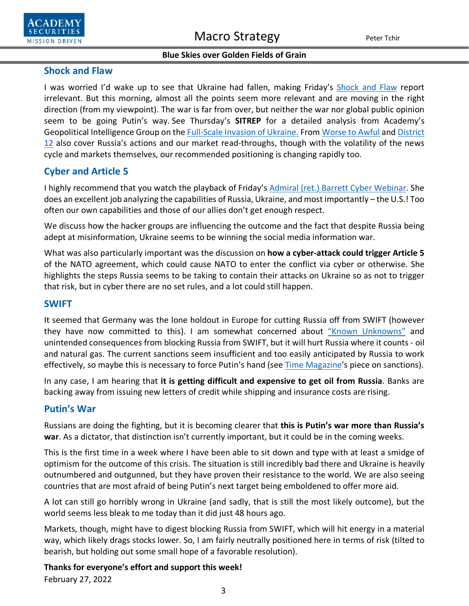

## **Shock and Flaw**

I was worried I'd wake up to see that Ukraine had fallen, making Friday's [Shock and Flaw](https://www.academysecurities.com/wordpress/wp-content/uploads/2022/02/Shock-and-Flaw.pdf) report irrelevant. But this morning, almost all the points seem more relevant and are moving in the right direction (from my viewpoint). The war is far from over, but neither the war nor global public opinion seem to be going Putin's way. See Thursday's **SITREP** for a detailed analysis from Academy's Geopolitical Intelligence Group on the [Full-Scale Invasion of Ukraine.](https://www.academysecurities.com/a-full-scale-invasion-of-ukraine/) From [Worse to Awful](https://www.academysecurities.com/wordpress/wp-content/uploads/2022/02/From-Worse-to-Awful.pdf) and [District](https://www.academysecurities.com/wordpress/wp-content/uploads/2022/02/District-12.pdf)  [12](https://www.academysecurities.com/wordpress/wp-content/uploads/2022/02/District-12.pdf) also cover Russia's actions and our market read-throughs, though with the volatility of the news cycle and markets themselves, our recommended positioning is changing rapidly too.

# **Cyber and Article 5**

I highly recommend that you watch the playback of Friday's [Admiral \(ret.\) Barrett](https://www.youtube.com/watch?v=xQNIyO355ZU) Cyber Webinar. She does an excellent job analyzing the capabilities of Russia, Ukraine, and most importantly – the U.S.! Too often our own capabilities and those of our allies don't get enough respect.

We discuss how the hacker groups are influencing the outcome and the fact that despite Russia being adept at misinformation, Ukraine seems to be winning the social media information war.

What was also particularly important was the discussion on **how a cyber-attack could trigger Article 5** of the NATO agreement, which could cause NATO to enter the conflict via cyber or otherwise. She highlights the steps Russia seems to be taking to contain their attacks on Ukraine so as not to trigger that risk, but in cyber there are no set rules, and a lot could still happen.

### **SWIFT**

It seemed that Germany was the lone holdout in Europe for cutting Russia off from SWIFT (however they have now committed to this). I am somewhat concerned about ["Known Unknowns"](https://www.academysecurities.com/wordpress/wp-content/uploads/2022/02/SWIFT-Known-Unknowns-2.pdf) and unintended consequences from blocking Russia from SWIFT, but it will hurt Russia where it counts - oil and natural gas. The current sanctions seem insufficient and too easily anticipated by Russia to work effectively, so maybe this is necessary to force Putin's hand (see [Time Magazine'](https://time.com/6150607/why-sanctions-on-russia-wont-work/)s piece on sanctions).

In any case, I am hearing that **it is getting difficult and expensive to get oil from Russia**. Banks are backing away from issuing new letters of credit while shipping and insurance costs are rising.

## **Putin's War**

Russians are doing the fighting, but it is becoming clearer that **this is Putin's war more than Russia's war**. As a dictator, that distinction isn't currently important, but it could be in the coming weeks.

This is the first time in a week where I have been able to sit down and type with at least a smidge of optimism for the outcome of this crisis. The situation is still incredibly bad there and Ukraine is heavily outnumbered and outgunned, but they have proven their resistance to the world. We are also seeing countries that are most afraid of being Putin's next target being emboldened to offer more aid.

A lot can still go horribly wrong in Ukraine (and sadly, that is still the most likely outcome), but the world seems less bleak to me today than it did just 48 hours ago.

Markets, though, might have to digest blocking Russia from SWIFT, which will hit energy in a material way, which likely drags stocks lower. So, I am fairly neutrally positioned here in terms of risk (tilted to bearish, but holding out some small hope of a favorable resolution).

February 27, 2022 **Thanks for everyone's effort and support this week!**